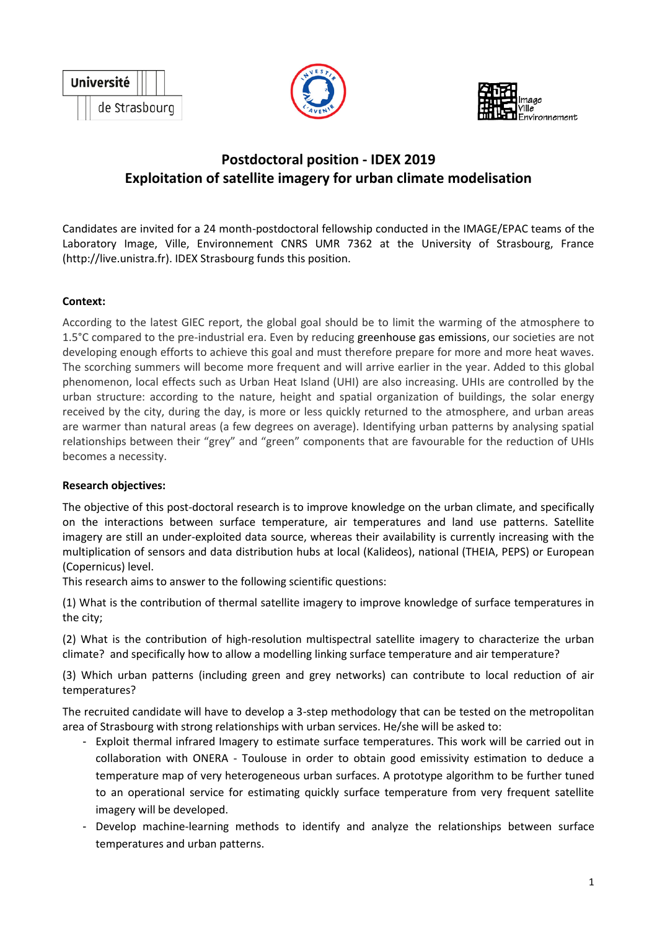





# **Postdoctoral position - IDEX 2019 Exploitation of satellite imagery for urban climate modelisation**

Candidates are invited for a 24 month-postdoctoral fellowship conducted in the IMAGE/EPAC teams of the Laboratory Image, Ville, Environnement CNRS UMR 7362 at the University of Strasbourg, France (http://live.unistra.fr). IDEX Strasbourg funds this position.

# **Context:**

According to the latest GIEC report, the global goal should be to limit the warming of the atmosphere to 1.5°C compared to the pre-industrial era. Even by reducing greenhouse gas emissions, our societies are not developing enough efforts to achieve this goal and must therefore prepare for more and more heat waves. The scorching summers will become more frequent and will arrive earlier in the year. Added to this global phenomenon, local effects such as Urban Heat Island (UHI) are also increasing. UHIs are controlled by the urban structure: according to the nature, height and spatial organization of buildings, the solar energy received by the city, during the day, is more or less quickly returned to the atmosphere, and urban areas are warmer than natural areas (a few degrees on average). Identifying urban patterns by analysing spatial relationships between their "grey" and "green" components that are favourable for the reduction of UHIs becomes a necessity.

#### **Research objectives:**

The objective of this post-doctoral research is to improve knowledge on the urban climate, and specifically on the interactions between surface temperature, air temperatures and land use patterns. Satellite imagery are still an under-exploited data source, whereas their availability is currently increasing with the multiplication of sensors and data distribution hubs at local (Kalideos), national (THEIA, PEPS) or European (Copernicus) level.

This research aims to answer to the following scientific questions:

(1) What is the contribution of thermal satellite imagery to improve knowledge of surface temperatures in the city;

(2) What is the contribution of high-resolution multispectral satellite imagery to characterize the urban climate? and specifically how to allow a modelling linking surface temperature and air temperature?

(3) Which urban patterns (including green and grey networks) can contribute to local reduction of air temperatures?

The recruited candidate will have to develop a 3-step methodology that can be tested on the metropolitan area of Strasbourg with strong relationships with urban services. He/she will be asked to:

- Exploit thermal infrared Imagery to estimate surface temperatures. This work will be carried out in collaboration with ONERA - Toulouse in order to obtain good emissivity estimation to deduce a temperature map of very heterogeneous urban surfaces. A prototype algorithm to be further tuned to an operational service for estimating quickly surface temperature from very frequent satellite imagery will be developed.
- Develop machine-learning methods to identify and analyze the relationships between surface temperatures and urban patterns.